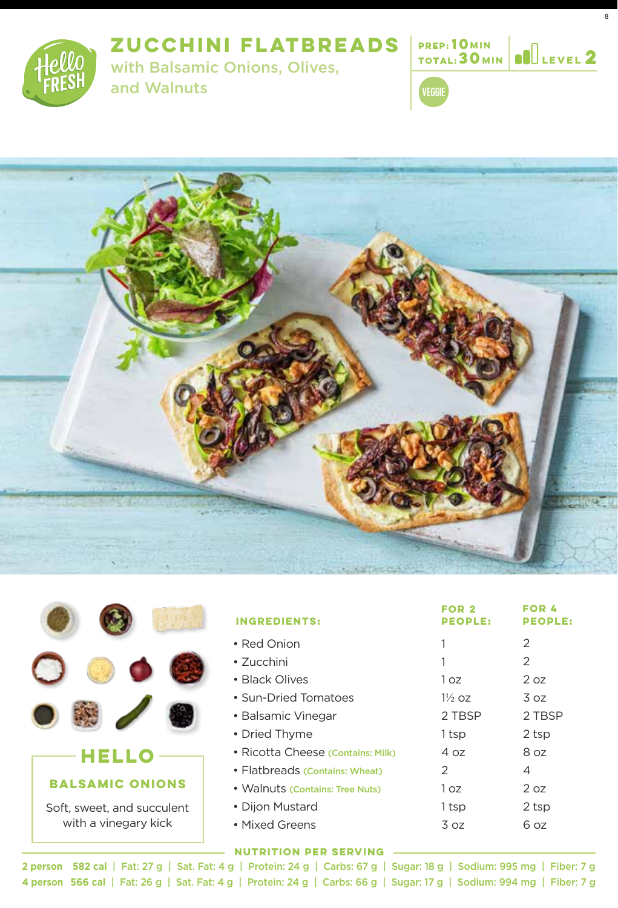**ZUCCHINI FLATBREADS**



with Balsamic Onions, Olives,



8







|                            | <b>INGREDIENTS:</b>               | FOR <sub>2</sub><br><b>PEOPLE:</b> | <b>EOD 4</b><br><b>PEOPLE:</b> |
|----------------------------|-----------------------------------|------------------------------------|--------------------------------|
|                            | • Red Onion                       |                                    | 2                              |
|                            | $\cdot$ 7ucchini                  |                                    | $\overline{2}$                 |
|                            | • Black Olives                    | 1 oz                               | 2 oz                           |
|                            | • Sun-Dried Tomatoes              | $1\%$ oz                           | 3 oz                           |
|                            | • Balsamic Vinegar                | 2 TBSP                             | 2 TBSP                         |
|                            | • Dried Thyme                     | 1tsp                               | 2 tsp                          |
|                            | • Ricotta Cheese (Contains: Milk) | 4 oz                               | 8 oz                           |
|                            | • Flatbreads (Contains: Wheat)    | $\mathcal{P}$                      | 4                              |
| <b>BALSAMIC ONIONS</b>     | • Walnuts (Contains: Tree Nuts)   | 1 oz                               | 2 oz                           |
| Soft, sweet, and succulent | • Dijon Mustard                   | 1 tsp                              | 2 tsp                          |
| with a vinegary kick       | • Mixed Greens                    | 3 oz                               | 6 oz                           |
|                            |                                   |                                    |                                |

**582 cal** | Fat: 27 g | Sat. Fat: 4 g | Protein: 24 g | Carbs: 67 g | Sugar: 18 g | Sodium: 995 mg | Fiber: 7 g **2 person 4 person 566 cal** | Fat: 26 g | Sat. Fat: 4 g | Protein: 24 g | Carbs: 66 g | Sugar: 17 g | Sodium: 994 mg | Fiber: 7 g